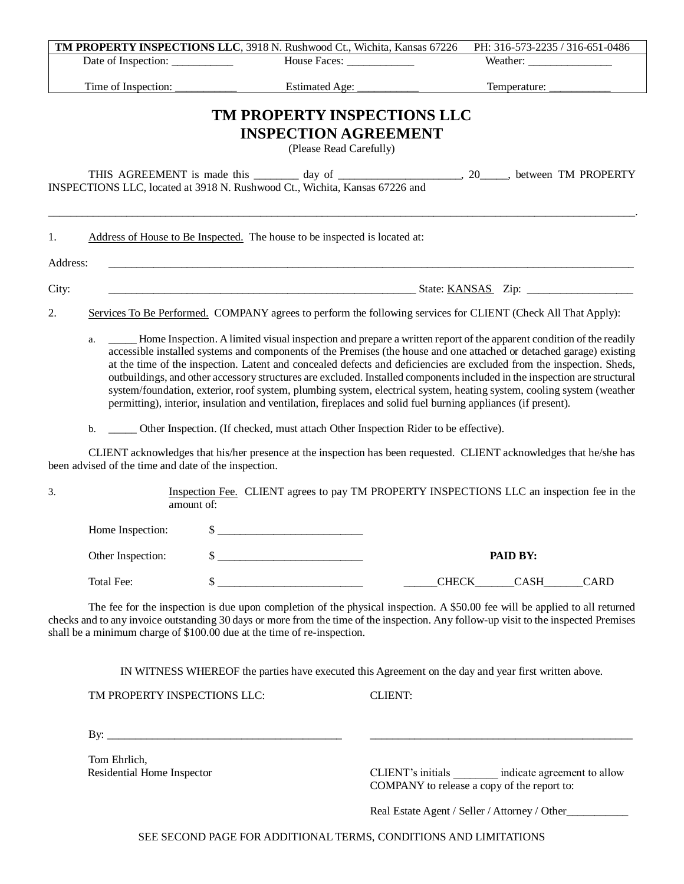|          |                                                                                                                                                                                                                                                                                                                                                                                                                                                                                                                                                                                                                                                                                                                                            |                                                                                                                     | House Faces: ________________ | Weather:                        |  |
|----------|--------------------------------------------------------------------------------------------------------------------------------------------------------------------------------------------------------------------------------------------------------------------------------------------------------------------------------------------------------------------------------------------------------------------------------------------------------------------------------------------------------------------------------------------------------------------------------------------------------------------------------------------------------------------------------------------------------------------------------------------|---------------------------------------------------------------------------------------------------------------------|-------------------------------|---------------------------------|--|
|          | Time of Inspection:                                                                                                                                                                                                                                                                                                                                                                                                                                                                                                                                                                                                                                                                                                                        | Estimated Age: _                                                                                                    |                               | Temperature: __________         |  |
|          |                                                                                                                                                                                                                                                                                                                                                                                                                                                                                                                                                                                                                                                                                                                                            | TM PROPERTY INSPECTIONS LLC                                                                                         |                               |                                 |  |
|          |                                                                                                                                                                                                                                                                                                                                                                                                                                                                                                                                                                                                                                                                                                                                            | <b>INSPECTION AGREEMENT</b>                                                                                         |                               |                                 |  |
|          |                                                                                                                                                                                                                                                                                                                                                                                                                                                                                                                                                                                                                                                                                                                                            | (Please Read Carefully)                                                                                             |                               |                                 |  |
|          |                                                                                                                                                                                                                                                                                                                                                                                                                                                                                                                                                                                                                                                                                                                                            |                                                                                                                     |                               |                                 |  |
|          |                                                                                                                                                                                                                                                                                                                                                                                                                                                                                                                                                                                                                                                                                                                                            | INSPECTIONS LLC, located at 3918 N. Rushwood Ct., Wichita, Kansas 67226 and                                         |                               |                                 |  |
| 1.       |                                                                                                                                                                                                                                                                                                                                                                                                                                                                                                                                                                                                                                                                                                                                            | Address of House to Be Inspected. The house to be inspected is located at:                                          |                               |                                 |  |
| Address: |                                                                                                                                                                                                                                                                                                                                                                                                                                                                                                                                                                                                                                                                                                                                            |                                                                                                                     |                               |                                 |  |
| City:    |                                                                                                                                                                                                                                                                                                                                                                                                                                                                                                                                                                                                                                                                                                                                            |                                                                                                                     |                               |                                 |  |
| 2.       |                                                                                                                                                                                                                                                                                                                                                                                                                                                                                                                                                                                                                                                                                                                                            | Services To Be Performed. COMPANY agrees to perform the following services for CLIENT (Check All That Apply):       |                               |                                 |  |
|          | Home Inspection. A limited visual inspection and prepare a written report of the apparent condition of the readily<br>accessible installed systems and components of the Premises (the house and one attached or detached garage) existing<br>at the time of the inspection. Latent and concealed defects and deficiencies are excluded from the inspection. Sheds,<br>outbuildings, and other accessory structures are excluded. Installed components included in the inspection are structural<br>system/foundation, exterior, roof system, plumbing system, electrical system, heating system, cooling system (weather<br>permitting), interior, insulation and ventilation, fireplaces and solid fuel burning appliances (if present). |                                                                                                                     |                               |                                 |  |
|          | b.                                                                                                                                                                                                                                                                                                                                                                                                                                                                                                                                                                                                                                                                                                                                         | Other Inspection. (If checked, must attach Other Inspection Rider to be effective).                                 |                               |                                 |  |
|          | been advised of the time and date of the inspection.                                                                                                                                                                                                                                                                                                                                                                                                                                                                                                                                                                                                                                                                                       | CLIENT acknowledges that his/her presence at the inspection has been requested. CLIENT acknowledges that he/she has |                               |                                 |  |
|          | Inspection Fee. CLIENT agrees to pay TM PROPERTY INSPECTIONS LLC an inspection fee in the<br>amount of:                                                                                                                                                                                                                                                                                                                                                                                                                                                                                                                                                                                                                                    |                                                                                                                     |                               |                                 |  |
|          |                                                                                                                                                                                                                                                                                                                                                                                                                                                                                                                                                                                                                                                                                                                                            |                                                                                                                     |                               |                                 |  |
|          | Home Inspection:                                                                                                                                                                                                                                                                                                                                                                                                                                                                                                                                                                                                                                                                                                                           | $\sim$                                                                                                              |                               |                                 |  |
| 3.       | Other Inspection:                                                                                                                                                                                                                                                                                                                                                                                                                                                                                                                                                                                                                                                                                                                          |                                                                                                                     |                               | PAID BY:                        |  |
|          | Total Fee:                                                                                                                                                                                                                                                                                                                                                                                                                                                                                                                                                                                                                                                                                                                                 | \$                                                                                                                  |                               | CHECK______CASH_<br><b>CARD</b> |  |

IN WITNESS WHEREOF the parties have executed this Agreement on the day and year first written above.

TM PROPERTY INSPECTIONS LLC: CLIENT:

By: \_\_\_\_\_\_\_\_\_\_\_\_\_\_\_\_\_\_\_\_\_\_\_\_\_\_\_\_\_\_\_\_\_\_\_\_\_\_\_\_\_\_ \_\_\_\_\_\_\_\_\_\_\_\_\_\_\_\_\_\_\_\_\_\_\_\_\_\_\_\_\_\_\_\_\_\_\_\_\_\_\_\_\_\_\_\_\_\_\_

Tom Ehrlich,

Residential Home Inspector CLIENT's initials indicate agreement to allow COMPANY to release a copy of the report to:

Real Estate Agent / Seller / Attorney / Other\_\_\_\_\_\_\_\_\_\_\_